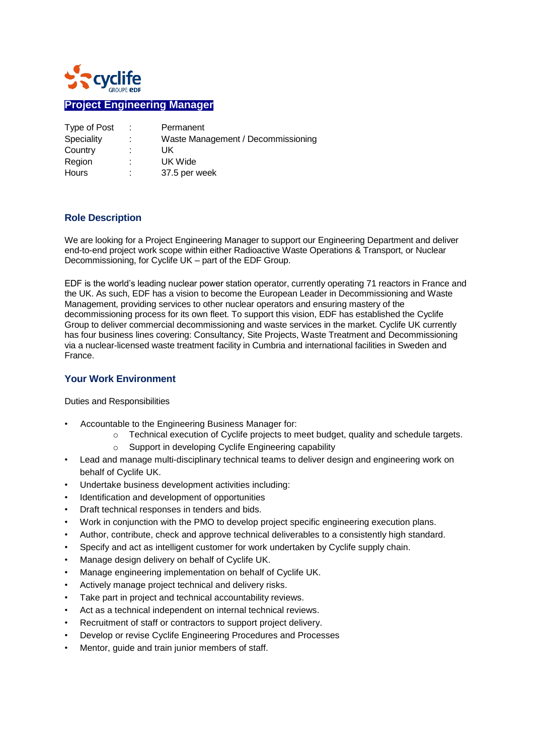

# **Project Engineering Manager**

| Type of Post | Permanent                          |
|--------------|------------------------------------|
| Speciality   | Waste Management / Decommissioning |
| Country      | UK                                 |
| Region       | UK Wide                            |
| Hours        | 37.5 per week                      |

#### **Role Description**

We are looking for a Project Engineering Manager to support our Engineering Department and deliver end-to-end project work scope within either Radioactive Waste Operations & Transport, or Nuclear Decommissioning, for Cyclife UK – part of the EDF Group.

EDF is the world's leading nuclear power station operator, currently operating 71 reactors in France and the UK. As such, EDF has a vision to become the European Leader in Decommissioning and Waste Management, providing services to other nuclear operators and ensuring mastery of the decommissioning process for its own fleet. To support this vision, EDF has established the Cyclife Group to deliver commercial decommissioning and waste services in the market. Cyclife UK currently has four business lines covering: Consultancy, Site Projects, Waste Treatment and Decommissioning via a nuclear-licensed waste treatment facility in Cumbria and international facilities in Sweden and France.

#### **Your Work Environment**

Duties and Responsibilities

- Accountable to the Engineering Business Manager for:
	- o Technical execution of Cyclife projects to meet budget, quality and schedule targets.
	- o Support in developing Cyclife Engineering capability
- Lead and manage multi-disciplinary technical teams to deliver design and engineering work on behalf of Cyclife UK.
- Undertake business development activities including:
- Identification and development of opportunities
- Draft technical responses in tenders and bids.
- Work in conjunction with the PMO to develop project specific engineering execution plans.
- Author, contribute, check and approve technical deliverables to a consistently high standard.
- Specify and act as intelligent customer for work undertaken by Cyclife supply chain.
- Manage design delivery on behalf of Cyclife UK.
- Manage engineering implementation on behalf of Cyclife UK.
- Actively manage project technical and delivery risks.
- Take part in project and technical accountability reviews.
- Act as a technical independent on internal technical reviews.
- Recruitment of staff or contractors to support project delivery.
- Develop or revise Cyclife Engineering Procedures and Processes
- Mentor, guide and train junior members of staff.